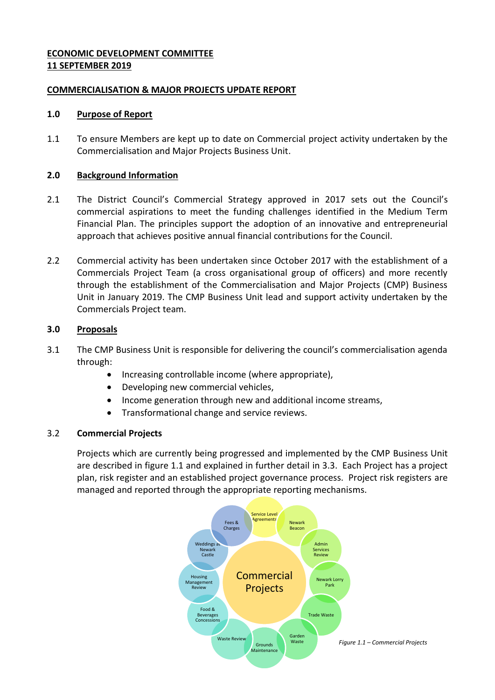## **ECONOMIC DEVELOPMENT COMMITTEE 11 SEPTEMBER 2019**

## **COMMERCIALISATION & MAJOR PROJECTS UPDATE REPORT**

#### **1.0 Purpose of Report**

1.1 To ensure Members are kept up to date on Commercial project activity undertaken by the Commercialisation and Major Projects Business Unit.

## **2.0 Background Information**

- 2.1 The District Council's Commercial Strategy approved in 2017 sets out the Council's commercial aspirations to meet the funding challenges identified in the Medium Term Financial Plan. The principles support the adoption of an innovative and entrepreneurial approach that achieves positive annual financial contributions for the Council.
- 2.2 Commercial activity has been undertaken since October 2017 with the establishment of a Commercials Project Team (a cross organisational group of officers) and more recently through the establishment of the Commercialisation and Major Projects (CMP) Business Unit in January 2019. The CMP Business Unit lead and support activity undertaken by the Commercials Project team.

## **3.0 Proposals**

- 3.1 The CMP Business Unit is responsible for delivering the council's commercialisation agenda through:
	- Increasing controllable income (where appropriate),
	- Developing new commercial vehicles,
	- Income generation through new and additional income streams,
	- Transformational change and service reviews.

#### 3.2 **Commercial Projects**

Projects which are currently being progressed and implemented by the CMP Business Unit are described in figure 1.1 and explained in further detail in 3.3. Each Project has a project plan, risk register and an established project governance process. Project risk registers are managed and reported through the appropriate reporting mechanisms.

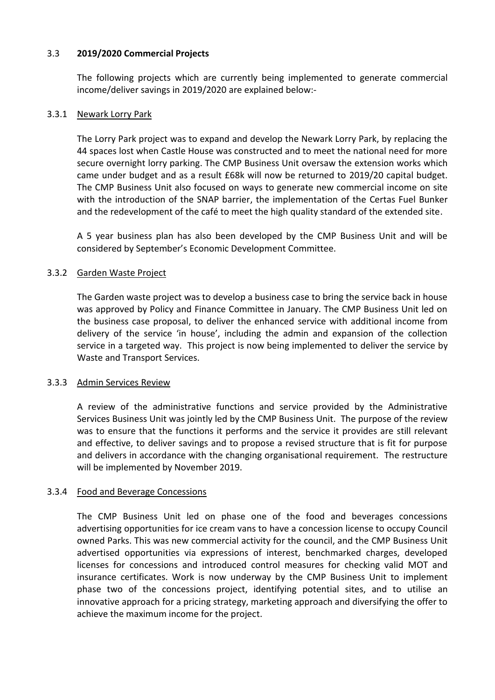## 3.3 **2019/2020 Commercial Projects**

The following projects which are currently being implemented to generate commercial income/deliver savings in 2019/2020 are explained below:-

### 3.3.1 Newark Lorry Park

The Lorry Park project was to expand and develop the Newark Lorry Park, by replacing the 44 spaces lost when Castle House was constructed and to meet the national need for more secure overnight lorry parking. The CMP Business Unit oversaw the extension works which came under budget and as a result £68k will now be returned to 2019/20 capital budget. The CMP Business Unit also focused on ways to generate new commercial income on site with the introduction of the SNAP barrier, the implementation of the Certas Fuel Bunker and the redevelopment of the café to meet the high quality standard of the extended site.

A 5 year business plan has also been developed by the CMP Business Unit and will be considered by September's Economic Development Committee.

## 3.3.2 Garden Waste Project

The Garden waste project was to develop a business case to bring the service back in house was approved by Policy and Finance Committee in January. The CMP Business Unit led on the business case proposal, to deliver the enhanced service with additional income from delivery of the service 'in house', including the admin and expansion of the collection service in a targeted way. This project is now being implemented to deliver the service by Waste and Transport Services.

# 3.3.3 Admin Services Review

A review of the administrative functions and service provided by the Administrative Services Business Unit was jointly led by the CMP Business Unit. The purpose of the review was to ensure that the functions it performs and the service it provides are still relevant and effective, to deliver savings and to propose a revised structure that is fit for purpose and delivers in accordance with the changing organisational requirement. The restructure will be implemented by November 2019.

#### 3.3.4 Food and Beverage Concessions

The CMP Business Unit led on phase one of the food and beverages concessions advertising opportunities for ice cream vans to have a concession license to occupy Council owned Parks. This was new commercial activity for the council, and the CMP Business Unit advertised opportunities via expressions of interest, benchmarked charges, developed licenses for concessions and introduced control measures for checking valid MOT and insurance certificates. Work is now underway by the CMP Business Unit to implement phase two of the concessions project, identifying potential sites, and to utilise an innovative approach for a pricing strategy, marketing approach and diversifying the offer to achieve the maximum income for the project.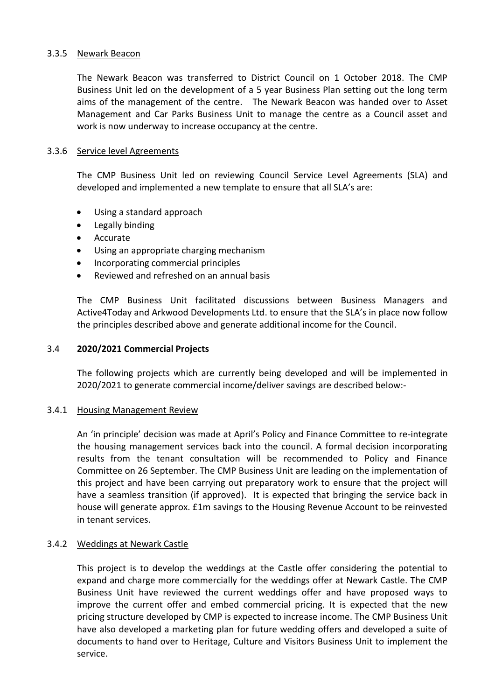#### 3.3.5 Newark Beacon

The Newark Beacon was transferred to District Council on 1 October 2018. The CMP Business Unit led on the development of a 5 year Business Plan setting out the long term aims of the management of the centre. The Newark Beacon was handed over to Asset Management and Car Parks Business Unit to manage the centre as a Council asset and work is now underway to increase occupancy at the centre.

## 3.3.6 Service level Agreements

The CMP Business Unit led on reviewing Council Service Level Agreements (SLA) and developed and implemented a new template to ensure that all SLA's are:

- Using a standard approach
- Legally binding
- Accurate
- Using an appropriate charging mechanism
- Incorporating commercial principles
- Reviewed and refreshed on an annual basis

The CMP Business Unit facilitated discussions between Business Managers and Active4Today and Arkwood Developments Ltd. to ensure that the SLA's in place now follow the principles described above and generate additional income for the Council.

### 3.4 **2020/2021 Commercial Projects**

The following projects which are currently being developed and will be implemented in 2020/2021 to generate commercial income/deliver savings are described below:-

#### 3.4.1 Housing Management Review

An 'in principle' decision was made at April's Policy and Finance Committee to re-integrate the housing management services back into the council. A formal decision incorporating results from the tenant consultation will be recommended to Policy and Finance Committee on 26 September. The CMP Business Unit are leading on the implementation of this project and have been carrying out preparatory work to ensure that the project will have a seamless transition (if approved). It is expected that bringing the service back in house will generate approx. £1m savings to the Housing Revenue Account to be reinvested in tenant services.

# 3.4.2 Weddings at Newark Castle

This project is to develop the weddings at the Castle offer considering the potential to expand and charge more commercially for the weddings offer at Newark Castle. The CMP Business Unit have reviewed the current weddings offer and have proposed ways to improve the current offer and embed commercial pricing. It is expected that the new pricing structure developed by CMP is expected to increase income. The CMP Business Unit have also developed a marketing plan for future wedding offers and developed a suite of documents to hand over to Heritage, Culture and Visitors Business Unit to implement the service.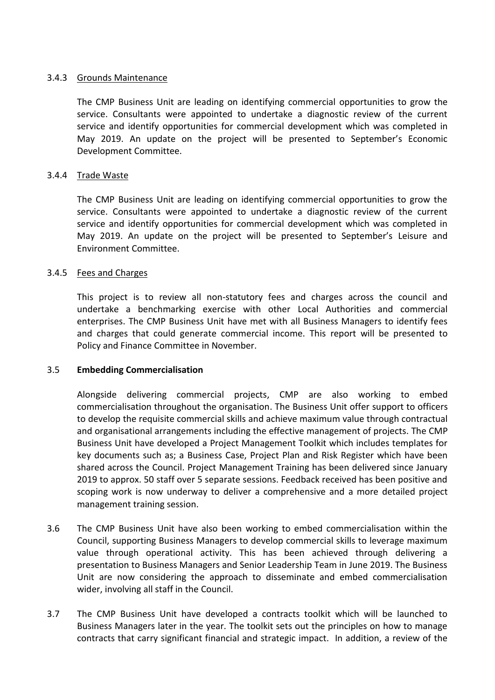### 3.4.3 Grounds Maintenance

The CMP Business Unit are leading on identifying commercial opportunities to grow the service. Consultants were appointed to undertake a diagnostic review of the current service and identify opportunities for commercial development which was completed in May 2019. An update on the project will be presented to September's Economic Development Committee.

### 3.4.4 Trade Waste

The CMP Business Unit are leading on identifying commercial opportunities to grow the service. Consultants were appointed to undertake a diagnostic review of the current service and identify opportunities for commercial development which was completed in May 2019. An update on the project will be presented to September's Leisure and Environment Committee.

## 3.4.5 Fees and Charges

This project is to review all non-statutory fees and charges across the council and undertake a benchmarking exercise with other Local Authorities and commercial enterprises. The CMP Business Unit have met with all Business Managers to identify fees and charges that could generate commercial income. This report will be presented to Policy and Finance Committee in November.

#### 3.5 **Embedding Commercialisation**

Alongside delivering commercial projects, CMP are also working to embed commercialisation throughout the organisation. The Business Unit offer support to officers to develop the requisite commercial skills and achieve maximum value through contractual and organisational arrangements including the effective management of projects. The CMP Business Unit have developed a Project Management Toolkit which includes templates for key documents such as; a Business Case, Project Plan and Risk Register which have been shared across the Council. Project Management Training has been delivered since January 2019 to approx. 50 staff over 5 separate sessions. Feedback received has been positive and scoping work is now underway to deliver a comprehensive and a more detailed project management training session.

- 3.6 The CMP Business Unit have also been working to embed commercialisation within the Council, supporting Business Managers to develop commercial skills to leverage maximum value through operational activity. This has been achieved through delivering a presentation to Business Managers and Senior Leadership Team in June 2019. The Business Unit are now considering the approach to disseminate and embed commercialisation wider, involving all staff in the Council.
- 3.7 The CMP Business Unit have developed a contracts toolkit which will be launched to Business Managers later in the year. The toolkit sets out the principles on how to manage contracts that carry significant financial and strategic impact. In addition, a review of the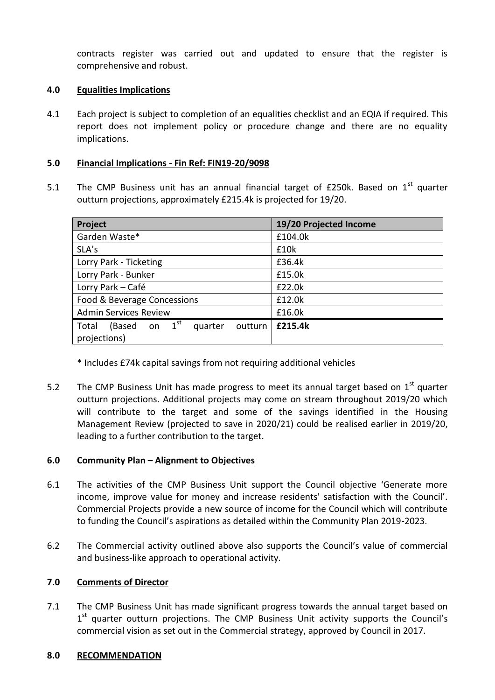contracts register was carried out and updated to ensure that the register is comprehensive and robust.

## **4.0 Equalities Implications**

4.1 Each project is subject to completion of an equalities checklist and an EQIA if required. This report does not implement policy or procedure change and there are no equality implications.

## **5.0 Financial Implications - Fin Ref: FIN19-20/9098**

5.1 The CMP Business unit has an annual financial target of £250k. Based on  $1<sup>st</sup>$  quarter outturn projections, approximately £215.4k is projected for 19/20.

| Project                                           | 19/20 Projected Income |
|---------------------------------------------------|------------------------|
| Garden Waste*                                     | £104.0k                |
| SLA's                                             | £10k                   |
| Lorry Park - Ticketing                            | £36.4k                 |
| Lorry Park - Bunker                               | £15.0k                 |
| Lorry Park - Café                                 | £22.0k                 |
| Food & Beverage Concessions                       | £12.0k                 |
| <b>Admin Services Review</b>                      | £16.0k                 |
| on $1st$<br>Total<br>(Based<br>quarter<br>outturn | £215.4k                |
| projections)                                      |                        |

\* Includes £74k capital savings from not requiring additional vehicles

5.2 The CMP Business Unit has made progress to meet its annual target based on  $1<sup>st</sup>$  quarter outturn projections. Additional projects may come on stream throughout 2019/20 which will contribute to the target and some of the savings identified in the Housing Management Review (projected to save in 2020/21) could be realised earlier in 2019/20, leading to a further contribution to the target.

## **6.0 Community Plan – Alignment to Objectives**

- 6.1 The activities of the CMP Business Unit support the Council objective 'Generate more income, improve value for money and increase residents' satisfaction with the Council'. Commercial Projects provide a new source of income for the Council which will contribute to funding the Council's aspirations as detailed within the Community Plan 2019-2023.
- 6.2 The Commercial activity outlined above also supports the Council's value of commercial and business-like approach to operational activity.

# **7.0 Comments of Director**

7.1 The CMP Business Unit has made significant progress towards the annual target based on 1<sup>st</sup> quarter outturn projections. The CMP Business Unit activity supports the Council's commercial vision as set out in the Commercial strategy, approved by Council in 2017.

#### **8.0 RECOMMENDATION**